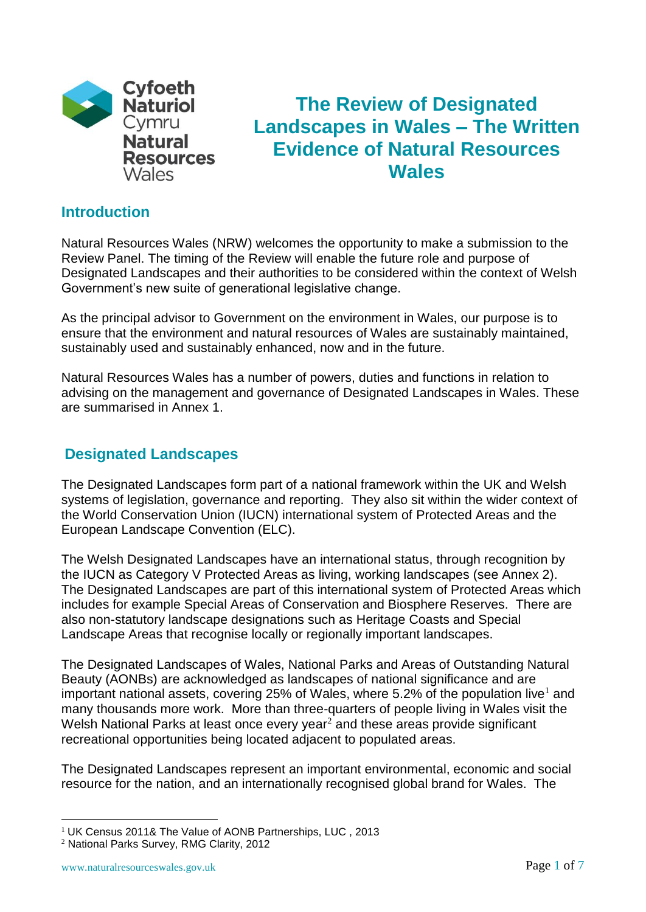

# **The Review of Designated Landscapes in Wales – The Written Evidence of Natural Resources Wales**

### **Introduction**

Natural Resources Wales (NRW) welcomes the opportunity to make a submission to the Review Panel. The timing of the Review will enable the future role and purpose of Designated Landscapes and their authorities to be considered within the context of Welsh Government's new suite of generational legislative change.

As the principal advisor to Government on the environment in Wales, our purpose is to ensure that the environment and natural resources of Wales are sustainably maintained, sustainably used and sustainably enhanced, now and in the future.

Natural Resources Wales has a number of powers, duties and functions in relation to advising on the management and governance of Designated Landscapes in Wales. These are summarised in Annex 1.

## **Designated Landscapes**

The Designated Landscapes form part of a national framework within the UK and Welsh systems of legislation, governance and reporting. They also sit within the wider context of the World Conservation Union (IUCN) international system of Protected Areas and the European Landscape Convention (ELC).

The Welsh Designated Landscapes have an international status, through recognition by the IUCN as Category V Protected Areas as living, working landscapes (see Annex 2). The Designated Landscapes are part of this international system of Protected Areas which includes for example Special Areas of Conservation and Biosphere Reserves. There are also non-statutory landscape designations such as Heritage Coasts and Special Landscape Areas that recognise locally or regionally important landscapes.

The Designated Landscapes of Wales, National Parks and Areas of Outstanding Natural Beauty (AONBs) are acknowledged as landscapes of national significance and are important national assets, covering 25% of Wales, where 5.2% of the population live<sup>1</sup> and many thousands more work. More than three-quarters of people living in Wales visit the Welsh National Parks at least once every year<sup>2</sup> and these areas provide significant recreational opportunities being located adjacent to populated areas.

The Designated Landscapes represent an important environmental, economic and social resource for the nation, and an internationally recognised global brand for Wales. The

1

<sup>&</sup>lt;sup>1</sup> UK Census 2011& The Value of AONB Partnerships, LUC, 2013

<sup>2</sup> National Parks Survey, RMG Clarity, 2012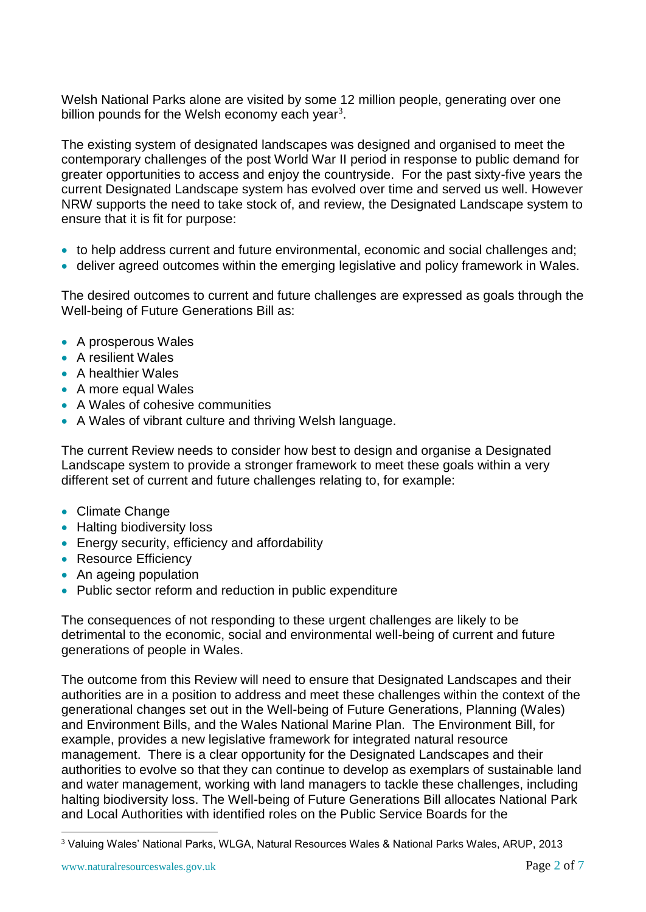Welsh National Parks alone are visited by some 12 million people, generating over one billion pounds for the Welsh economy each year<sup>3</sup>.

The existing system of designated landscapes was designed and organised to meet the contemporary challenges of the post World War II period in response to public demand for greater opportunities to access and enjoy the countryside. For the past sixty-five years the current Designated Landscape system has evolved over time and served us well. However NRW supports the need to take stock of, and review, the Designated Landscape system to ensure that it is fit for purpose:

- to help address current and future environmental, economic and social challenges and;
- deliver agreed outcomes within the emerging legislative and policy framework in Wales.

The desired outcomes to current and future challenges are expressed as goals through the Well-being of Future Generations Bill as:

- A prosperous Wales
- A resilient Wales
- A healthier Wales
- A more equal Wales
- A Wales of cohesive communities
- A Wales of vibrant culture and thriving Welsh language.

The current Review needs to consider how best to design and organise a Designated Landscape system to provide a stronger framework to meet these goals within a very different set of current and future challenges relating to, for example:

- Climate Change
- Halting biodiversity loss
- Energy security, efficiency and affordability
- Resource Efficiency
- An ageing population
- Public sector reform and reduction in public expenditure

The consequences of not responding to these urgent challenges are likely to be detrimental to the economic, social and environmental well-being of current and future generations of people in Wales.

The outcome from this Review will need to ensure that Designated Landscapes and their authorities are in a position to address and meet these challenges within the context of the generational changes set out in the Well-being of Future Generations, Planning (Wales) and Environment Bills, and the Wales National Marine Plan. The Environment Bill, for example, provides a new legislative framework for integrated natural resource management. There is a clear opportunity for the Designated Landscapes and their authorities to evolve so that they can continue to develop as exemplars of sustainable land and water management, working with land managers to tackle these challenges, including halting biodiversity loss. The Well-being of Future Generations Bill allocates National Park and Local Authorities with identified roles on the Public Service Boards for the

1

<sup>3</sup> Valuing Wales' National Parks, WLGA, Natural Resources Wales & National Parks Wales, ARUP, 2013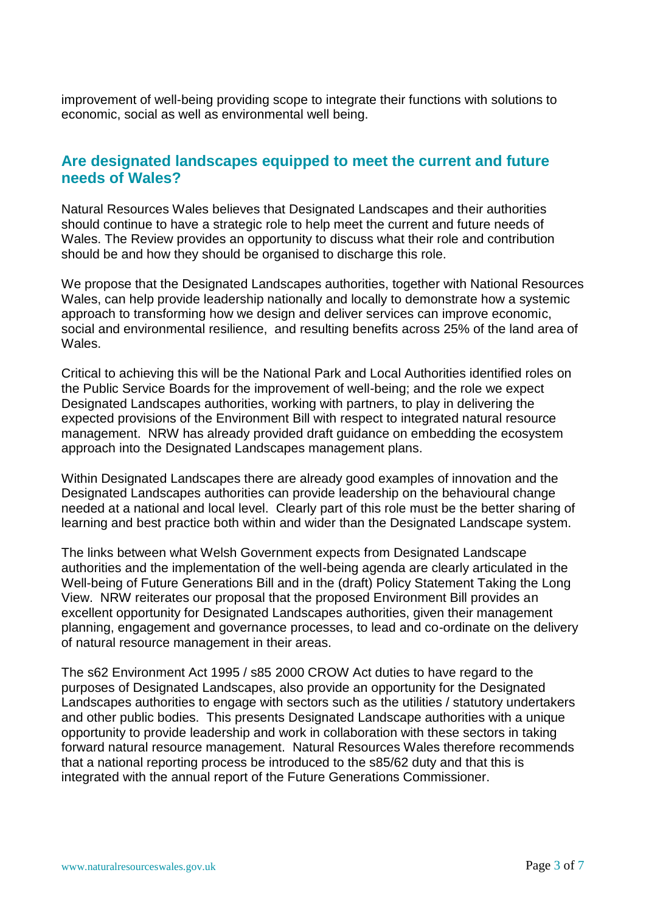improvement of well-being providing scope to integrate their functions with solutions to economic, social as well as environmental well being.

## **Are designated landscapes equipped to meet the current and future needs of Wales?**

Natural Resources Wales believes that Designated Landscapes and their authorities should continue to have a strategic role to help meet the current and future needs of Wales. The Review provides an opportunity to discuss what their role and contribution should be and how they should be organised to discharge this role.

We propose that the Designated Landscapes authorities, together with National Resources Wales, can help provide leadership nationally and locally to demonstrate how a systemic approach to transforming how we design and deliver services can improve economic, social and environmental resilience, and resulting benefits across 25% of the land area of Wales.

Critical to achieving this will be the National Park and Local Authorities identified roles on the Public Service Boards for the improvement of well-being; and the role we expect Designated Landscapes authorities, working with partners, to play in delivering the expected provisions of the Environment Bill with respect to integrated natural resource management. NRW has already provided draft guidance on embedding the ecosystem approach into the Designated Landscapes management plans.

Within Designated Landscapes there are already good examples of innovation and the Designated Landscapes authorities can provide leadership on the behavioural change needed at a national and local level. Clearly part of this role must be the better sharing of learning and best practice both within and wider than the Designated Landscape system.

The links between what Welsh Government expects from Designated Landscape authorities and the implementation of the well-being agenda are clearly articulated in the Well-being of Future Generations Bill and in the (draft) Policy Statement Taking the Long View. NRW reiterates our proposal that the proposed Environment Bill provides an excellent opportunity for Designated Landscapes authorities, given their management planning, engagement and governance processes, to lead and co-ordinate on the delivery of natural resource management in their areas.

The s62 Environment Act 1995 / s85 2000 CROW Act duties to have regard to the purposes of Designated Landscapes, also provide an opportunity for the Designated Landscapes authorities to engage with sectors such as the utilities / statutory undertakers and other public bodies. This presents Designated Landscape authorities with a unique opportunity to provide leadership and work in collaboration with these sectors in taking forward natural resource management. Natural Resources Wales therefore recommends that a national reporting process be introduced to the s85/62 duty and that this is integrated with the annual report of the Future Generations Commissioner.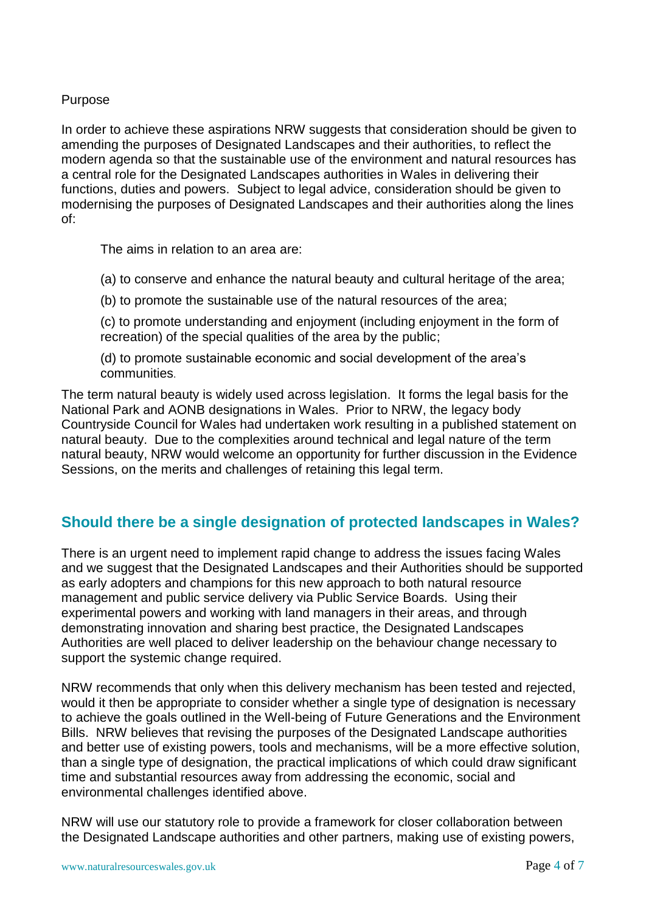#### Purpose

In order to achieve these aspirations NRW suggests that consideration should be given to amending the purposes of Designated Landscapes and their authorities, to reflect the modern agenda so that the sustainable use of the environment and natural resources has a central role for the Designated Landscapes authorities in Wales in delivering their functions, duties and powers. Subject to legal advice, consideration should be given to modernising the purposes of Designated Landscapes and their authorities along the lines of:

The aims in relation to an area are:

(a) to conserve and enhance the natural beauty and cultural heritage of the area;

(b) to promote the sustainable use of the natural resources of the area;

(c) to promote understanding and enjoyment (including enjoyment in the form of recreation) of the special qualities of the area by the public;

(d) to promote sustainable economic and social development of the area's communities.

The term natural beauty is widely used across legislation. It forms the legal basis for the National Park and AONB designations in Wales. Prior to NRW, the legacy body Countryside Council for Wales had undertaken work resulting in a published statement on natural beauty. Due to the complexities around technical and legal nature of the term natural beauty, NRW would welcome an opportunity for further discussion in the Evidence Sessions, on the merits and challenges of retaining this legal term.

# **Should there be a single designation of protected landscapes in Wales?**

There is an urgent need to implement rapid change to address the issues facing Wales and we suggest that the Designated Landscapes and their Authorities should be supported as early adopters and champions for this new approach to both natural resource management and public service delivery via Public Service Boards. Using their experimental powers and working with land managers in their areas, and through demonstrating innovation and sharing best practice, the Designated Landscapes Authorities are well placed to deliver leadership on the behaviour change necessary to support the systemic change required.

NRW recommends that only when this delivery mechanism has been tested and rejected, would it then be appropriate to consider whether a single type of designation is necessary to achieve the goals outlined in the Well-being of Future Generations and the Environment Bills. NRW believes that revising the purposes of the Designated Landscape authorities and better use of existing powers, tools and mechanisms, will be a more effective solution, than a single type of designation, the practical implications of which could draw significant time and substantial resources away from addressing the economic, social and environmental challenges identified above.

NRW will use our statutory role to provide a framework for closer collaboration between the Designated Landscape authorities and other partners, making use of existing powers,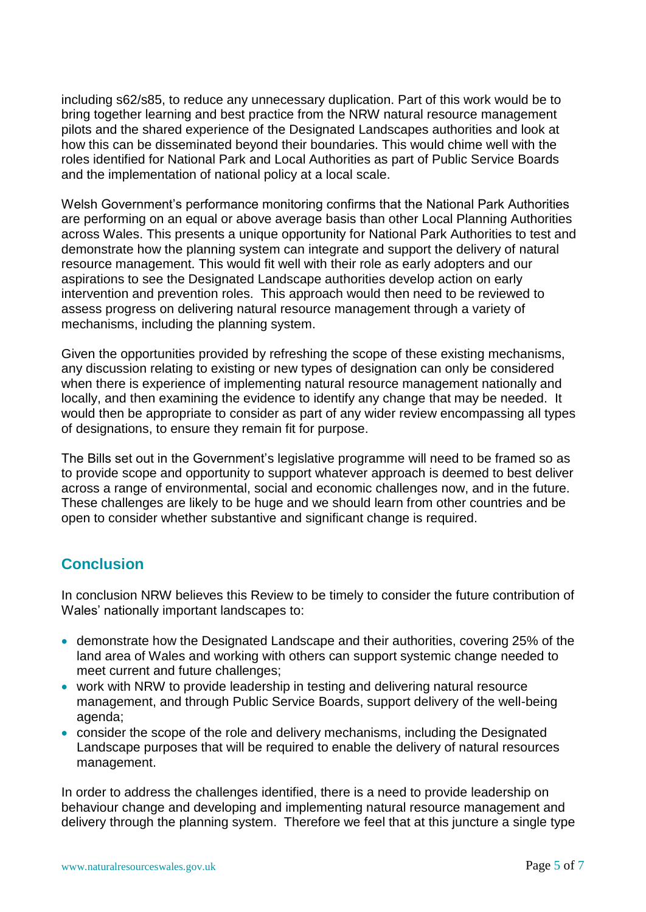including s62/s85, to reduce any unnecessary duplication. Part of this work would be to bring together learning and best practice from the NRW natural resource management pilots and the shared experience of the Designated Landscapes authorities and look at how this can be disseminated beyond their boundaries. This would chime well with the roles identified for National Park and Local Authorities as part of Public Service Boards and the implementation of national policy at a local scale.

Welsh Government's performance monitoring confirms that the National Park Authorities are performing on an equal or above average basis than other Local Planning Authorities across Wales. This presents a unique opportunity for National Park Authorities to test and demonstrate how the planning system can integrate and support the delivery of natural resource management. This would fit well with their role as early adopters and our aspirations to see the Designated Landscape authorities develop action on early intervention and prevention roles. This approach would then need to be reviewed to assess progress on delivering natural resource management through a variety of mechanisms, including the planning system.

Given the opportunities provided by refreshing the scope of these existing mechanisms, any discussion relating to existing or new types of designation can only be considered when there is experience of implementing natural resource management nationally and locally, and then examining the evidence to identify any change that may be needed. It would then be appropriate to consider as part of any wider review encompassing all types of designations, to ensure they remain fit for purpose.

The Bills set out in the Government's legislative programme will need to be framed so as to provide scope and opportunity to support whatever approach is deemed to best deliver across a range of environmental, social and economic challenges now, and in the future. These challenges are likely to be huge and we should learn from other countries and be open to consider whether substantive and significant change is required.

# **Conclusion**

In conclusion NRW believes this Review to be timely to consider the future contribution of Wales' nationally important landscapes to:

- demonstrate how the Designated Landscape and their authorities, covering 25% of the land area of Wales and working with others can support systemic change needed to meet current and future challenges;
- work with NRW to provide leadership in testing and delivering natural resource management, and through Public Service Boards, support delivery of the well-being agenda;
- consider the scope of the role and delivery mechanisms, including the Designated Landscape purposes that will be required to enable the delivery of natural resources management.

In order to address the challenges identified, there is a need to provide leadership on behaviour change and developing and implementing natural resource management and delivery through the planning system. Therefore we feel that at this juncture a single type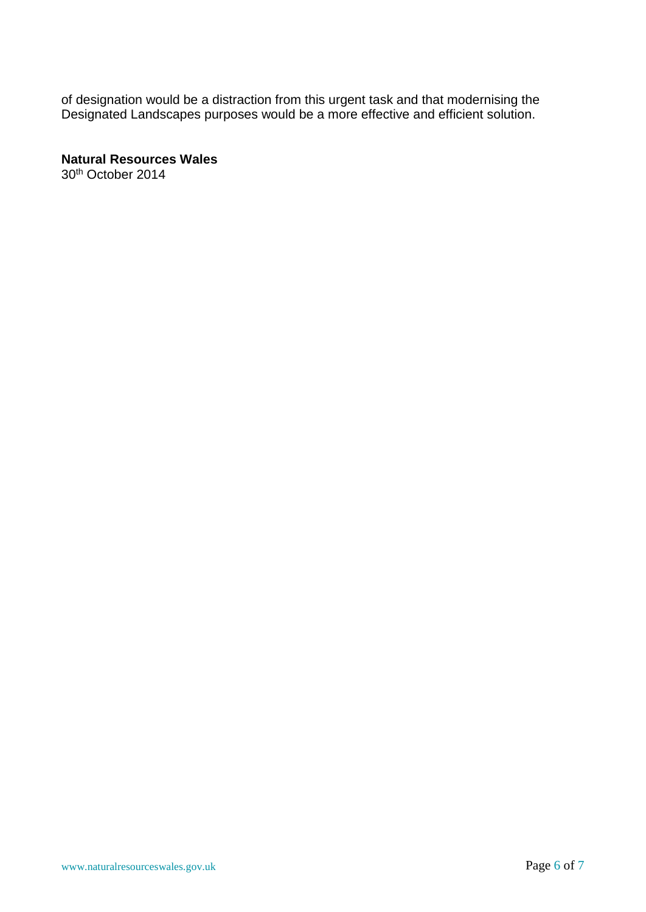of designation would be a distraction from this urgent task and that modernising the Designated Landscapes purposes would be a more effective and efficient solution.

**Natural Resources Wales** 30th October 2014